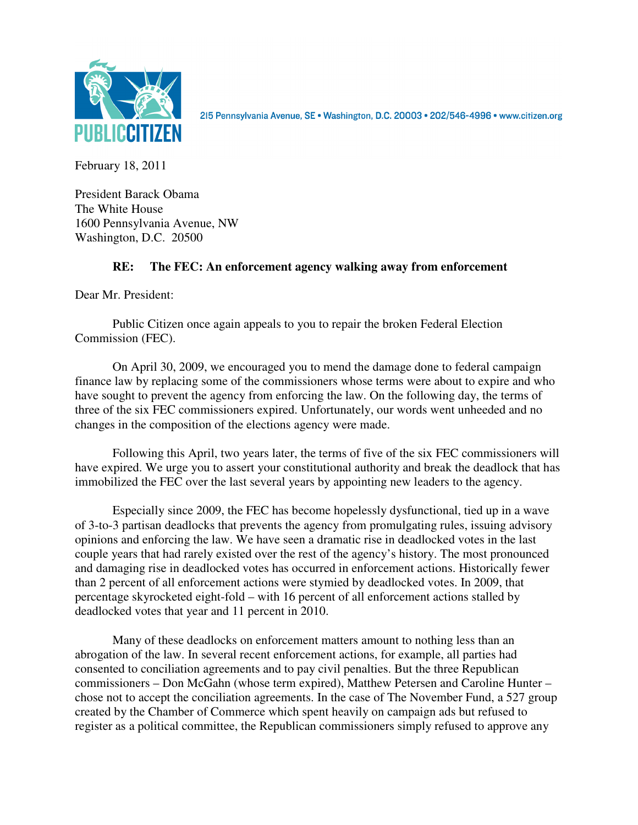

215 Pennsylvania Avenue, SE · Washington, D.C. 20003 · 202/546-4996 · www.citizen.org

February 18, 2011

President Barack Obama The White House 1600 Pennsylvania Avenue, NW Washington, D.C. 20500

## **RE: The FEC: An enforcement agency walking away from enforcement**

Dear Mr. President:

 Public Citizen once again appeals to you to repair the broken Federal Election Commission (FEC).

On April 30, 2009, we encouraged you to mend the damage done to federal campaign finance law by replacing some of the commissioners whose terms were about to expire and who have sought to prevent the agency from enforcing the law. On the following day, the terms of three of the six FEC commissioners expired. Unfortunately, our words went unheeded and no changes in the composition of the elections agency were made.

 Following this April, two years later, the terms of five of the six FEC commissioners will have expired. We urge you to assert your constitutional authority and break the deadlock that has immobilized the FEC over the last several years by appointing new leaders to the agency.

 Especially since 2009, the FEC has become hopelessly dysfunctional, tied up in a wave of 3-to-3 partisan deadlocks that prevents the agency from promulgating rules, issuing advisory opinions and enforcing the law. We have seen a dramatic rise in deadlocked votes in the last couple years that had rarely existed over the rest of the agency's history. The most pronounced and damaging rise in deadlocked votes has occurred in enforcement actions. Historically fewer than 2 percent of all enforcement actions were stymied by deadlocked votes. In 2009, that percentage skyrocketed eight-fold – with 16 percent of all enforcement actions stalled by deadlocked votes that year and 11 percent in 2010.

 Many of these deadlocks on enforcement matters amount to nothing less than an abrogation of the law. In several recent enforcement actions, for example, all parties had consented to conciliation agreements and to pay civil penalties. But the three Republican commissioners – Don McGahn (whose term expired), Matthew Petersen and Caroline Hunter – chose not to accept the conciliation agreements. In the case of The November Fund, a 527 group created by the Chamber of Commerce which spent heavily on campaign ads but refused to register as a political committee, the Republican commissioners simply refused to approve any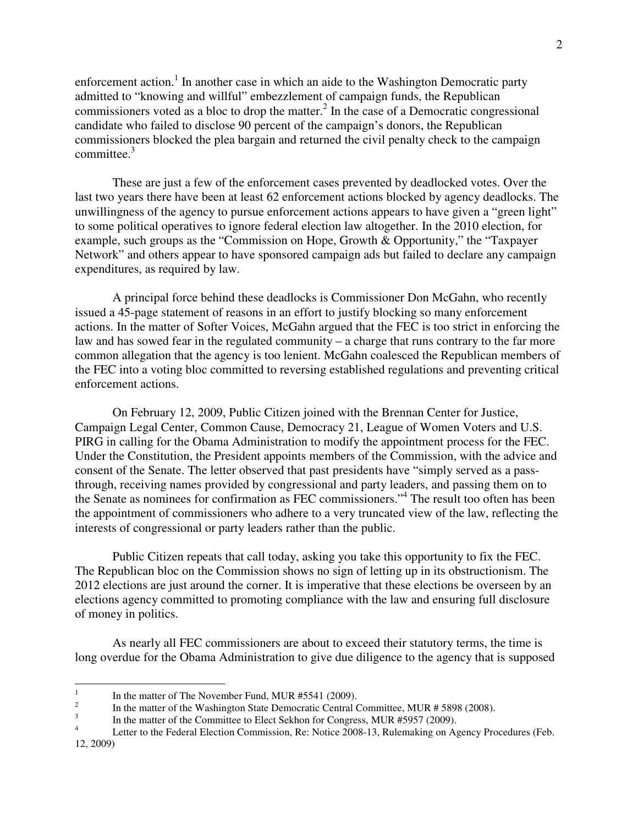enforcement action.<sup>1</sup> In another case in which an aide to the Washington Democratic party admitted to "knowing and willful" embezzlement of campaign funds, the Republican commissioners voted as a bloc to drop the matter. $^2$  In the case of a Democratic congressional candidate who failed to disclose 90 percent of the campaign's donors, the Republican commissioners blocked the plea bargain and returned the civil penalty check to the campaign committee. $3$ 

 These are just a few of the enforcement cases prevented by deadlocked votes. Over the last two years there have been at least 62 enforcement actions blocked by agency deadlocks. The unwillingness of the agency to pursue enforcement actions appears to have given a "green light" to some political operatives to ignore federal election law altogether. In the 2010 election, for example, such groups as the "Commission on Hope, Growth & Opportunity," the "Taxpayer Network" and others appear to have sponsored campaign ads but failed to declare any campaign expenditures, as required by law.

 A principal force behind these deadlocks is Commissioner Don McGahn, who recently issued a 45-page statement of reasons in an effort to justify blocking so many enforcement actions. In the matter of Softer Voices, McGahn argued that the FEC is too strict in enforcing the law and has sowed fear in the regulated community – a charge that runs contrary to the far more common allegation that the agency is too lenient. McGahn coalesced the Republican members of the FEC into a voting bloc committed to reversing established regulations and preventing critical enforcement actions.

 On February 12, 2009, Public Citizen joined with the Brennan Center for Justice, Campaign Legal Center, Common Cause, Democracy 21, League of Women Voters and U.S. PIRG in calling for the Obama Administration to modify the appointment process for the FEC. Under the Constitution, the President appoints members of the Commission, with the advice and consent of the Senate. The letter observed that past presidents have "simply served as a passthrough, receiving names provided by congressional and party leaders, and passing them on to the Senate as nominees for confirmation as FEC commissioners."<sup>4</sup> The result too often has been the appointment of commissioners who adhere to a very truncated view of the law, reflecting the interests of congressional or party leaders rather than the public.

 Public Citizen repeats that call today, asking you take this opportunity to fix the FEC. The Republican bloc on the Commission shows no sign of letting up in its obstructionism. The 2012 elections are just around the corner. It is imperative that these elections be overseen by an elections agency committed to promoting compliance with the law and ensuring full disclosure of money in politics.

As nearly all FEC commissioners are about to exceed their statutory terms, the time is long overdue for the Obama Administration to give due diligence to the agency that is supposed

 $\frac{1}{1}$ In the matter of The November Fund, MUR #5541 (2009).

<sup>2</sup> In the matter of the Washington State Democratic Central Committee, MUR # 5898 (2008).

<sup>3</sup> In the matter of the Committee to Elect Sekhon for Congress, MUR #5957 (2009).

<sup>4</sup> Letter to the Federal Election Commission, Re: Notice 2008-13, Rulemaking on Agency Procedures (Feb. 12, 2009)